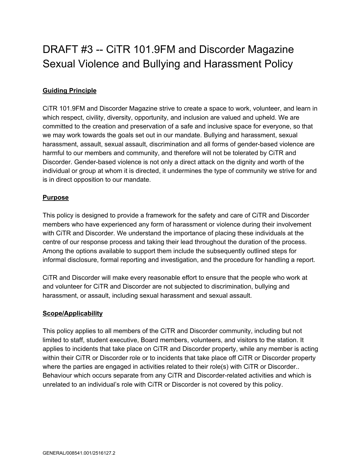# DRAFT #3 -- CiTR 101.9FM and Discorder Magazine Sexual Violence and Bullying and Harassment Policy

# **Guiding Principle**

CiTR 101.9FM and Discorder Magazine strive to create a space to work, volunteer, and learn in which respect, civility, diversity, opportunity, and inclusion are valued and upheld. We are committed to the creation and preservation of a safe and inclusive space for everyone, so that we may work towards the goals set out in our mandate. Bullying and harassment, sexual harassment, assault, sexual assault, discrimination and all forms of gender-based violence are harmful to our members and community, and therefore will not be tolerated by CiTR and Discorder. Gender-based violence is not only a direct attack on the dignity and worth of the individual or group at whom it is directed, it undermines the type of community we strive for and is in direct opposition to our mandate.

# **Purpose**

This policy is designed to provide a framework for the safety and care of CiTR and Discorder members who have experienced any form of harassment or violence during their involvement with CiTR and Discorder. We understand the importance of placing these individuals at the centre of our response process and taking their lead throughout the duration of the process. Among the options available to support them include the subsequently outlined steps for informal disclosure, formal reporting and investigation, and the procedure for handling a report.

CiTR and Discorder will make every reasonable effort to ensure that the people who work at and volunteer for CiTR and Discorder are not subjected to discrimination, bullying and harassment, or assault, including sexual harassment and sexual assault.

#### **Scope/Applicability**

This policy applies to all members of the CiTR and Discorder community, including but not limited to staff, student executive, Board members, volunteers, and visitors to the station. It applies to incidents that take place on CiTR and Discorder property, while any member is acting within their CiTR or Discorder role or to incidents that take place off CiTR or Discorder property where the parties are engaged in activities related to their role(s) with CiTR or Discorder.. Behaviour which occurs separate from any CiTR and Discorder-related activities and which is unrelated to an individual's role with CiTR or Discorder is not covered by this policy.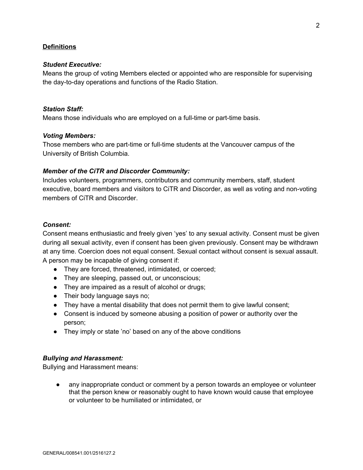#### **Definitions**

#### *Student Executive:*

Means the group of voting Members elected or appointed who are responsible for supervising the day-to-day operations and functions of the Radio Station.

#### *Station Staff:*

Means those individuals who are employed on a full-time or part-time basis.

#### *Voting Members:*

Those members who are part-time or full-time students at the Vancouver campus of the University of British Columbia.

#### *Member of the CiTR and Discorder Community:*

Includes volunteers, programmers, contributors and community members, staff, student executive, board members and visitors to CiTR and Discorder, as well as voting and non-voting members of CiTR and Discorder.

#### *Consent:*

Consent means enthusiastic and freely given 'yes' to any sexual activity. Consent must be given during all sexual activity, even if consent has been given previously. Consent may be withdrawn at any time. Coercion does not equal consent. Sexual contact without consent is sexual assault. A person may be incapable of giving consent if:

- They are forced, threatened, intimidated, or coerced;
- They are sleeping, passed out, or unconscious;
- They are impaired as a result of alcohol or drugs;
- Their body language says no;
- They have a mental disability that does not permit them to give lawful consent;
- Consent is induced by someone abusing a position of power or authority over the person;
- They imply or state 'no' based on any of the above conditions

#### *Bullying and Harassment:*

Bullying and Harassment means:

any inappropriate conduct or comment by a person towards an employee or volunteer that the person knew or reasonably ought to have known would cause that employee or volunteer to be humiliated or intimidated, or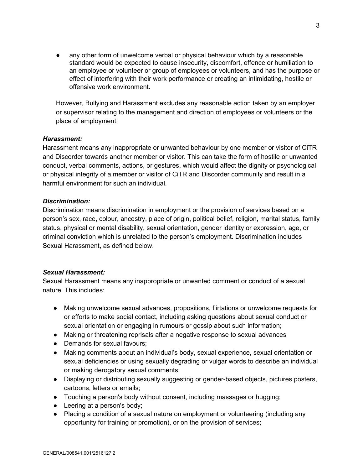any other form of unwelcome verbal or physical behaviour which by a reasonable standard would be expected to cause insecurity, discomfort, offence or humiliation to an employee or volunteer or group of employees or volunteers, and has the purpose or effect of interfering with their work performance or creating an intimidating, hostile or offensive work environment.

However, Bullying and Harassment excludes any reasonable action taken by an employer or supervisor relating to the management and direction of employees or volunteers or the place of employment.

#### *Harassment:*

Harassment means any inappropriate or unwanted behaviour by one member or visitor of CiTR and Discorder towards another member or visitor. This can take the form of hostile or unwanted conduct, verbal comments, actions, or gestures, which would affect the dignity or psychological or physical integrity of a member or visitor of CiTR and Discorder community and result in a harmful environment for such an individual.

#### *Discrimination:*

Discrimination means discrimination in employment or the provision of services based on a person's sex, race, colour, ancestry, place of origin, political belief, religion, marital status, family status, physical or mental disability, sexual orientation, gender identity or expression, age, or criminal conviction which is unrelated to the person's employment. Discrimination includes Sexual Harassment, as defined below.

#### *Sexual Harassment:*

Sexual Harassment means any inappropriate or unwanted comment or conduct of a sexual nature. This includes:

- Making unwelcome sexual advances, propositions, flirtations or unwelcome requests for or efforts to make social contact, including asking questions about sexual conduct or sexual orientation or engaging in rumours or gossip about such information;
- Making or threatening reprisals after a negative response to sexual advances
- Demands for sexual favours;
- Making comments about an individual's body, sexual experience, sexual orientation or sexual deficiencies or using sexually degrading or vulgar words to describe an individual or making derogatory sexual comments;
- Displaying or distributing sexually suggesting or gender-based objects, pictures posters, cartoons, letters or emails;
- Touching a person's body without consent, including massages or hugging;
- Leering at a person's body;
- Placing a condition of a sexual nature on employment or volunteering (including any opportunity for training or promotion), or on the provision of services;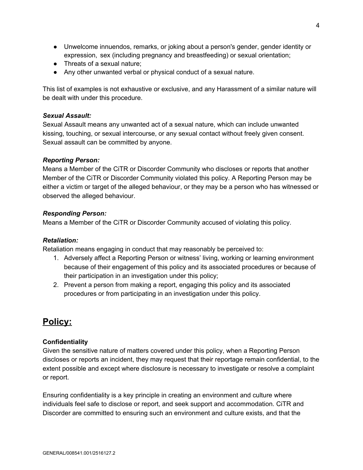- Unwelcome innuendos, remarks, or joking about a person's gender, gender identity or expression, sex (including pregnancy and breastfeeding) or sexual orientation;
- Threats of a sexual nature:
- Any other unwanted verbal or physical conduct of a sexual nature.

This list of examples is not exhaustive or exclusive, and any Harassment of a similar nature will be dealt with under this procedure.

#### *Sexual Assault:*

Sexual Assault means any unwanted act of a sexual nature, which can include unwanted kissing, touching, or sexual intercourse, or any sexual contact without freely given consent. Sexual assault can be committed by anyone.

#### *Reporting Person:*

Means a Member of the CiTR or Discorder Community who discloses or reports that another Member of the CiTR or Discorder Community violated this policy. A Reporting Person may be either a victim or target of the alleged behaviour, or they may be a person who has witnessed or observed the alleged behaviour.

#### *Responding Person:*

Means a Member of the CiTR or Discorder Community accused of violating this policy.

#### *Retaliation:*

Retaliation means engaging in conduct that may reasonably be perceived to:

- 1. Adversely affect a Reporting Person or witness' living, working or learning environment because of their engagement of this policy and its associated procedures or because of their participation in an investigation under this policy;
- 2. Prevent a person from making a report, engaging this policy and its associated procedures or from participating in an investigation under this policy.

# **Policy:**

#### **Confidentiality**

Given the sensitive nature of matters covered under this policy, when a Reporting Person discloses or reports an incident, they may request that their reportage remain confidential, to the extent possible and except where disclosure is necessary to investigate or resolve a complaint or report.

Ensuring confidentiality is a key principle in creating an environment and culture where individuals feel safe to disclose or report, and seek support and accommodation. CiTR and Discorder are committed to ensuring such an environment and culture exists, and that the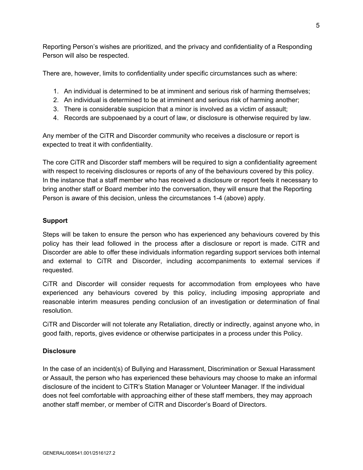Reporting Person's wishes are prioritized, and the privacy and confidentiality of a Responding Person will also be respected.

There are, however, limits to confidentiality under specific circumstances such as where:

- 1. An individual is determined to be at imminent and serious risk of harming themselves;
- 2. An individual is determined to be at imminent and serious risk of harming another;
- 3. There is considerable suspicion that a minor is involved as a victim of assault;
- 4. Records are subpoenaed by a court of law, or disclosure is otherwise required by law.

Any member of the CiTR and Discorder community who receives a disclosure or report is expected to treat it with confidentiality.

The core CiTR and Discorder staff members will be required to sign a confidentiality agreement with respect to receiving disclosures or reports of any of the behaviours covered by this policy. In the instance that a staff member who has received a disclosure or report feels it necessary to bring another staff or Board member into the conversation, they will ensure that the Reporting Person is aware of this decision, unless the circumstances 1-4 (above) apply.

# **Support**

Steps will be taken to ensure the person who has experienced any behaviours covered by this policy has their lead followed in the process after a disclosure or report is made. CiTR and Discorder are able to offer these individuals information regarding support services both internal and external to CiTR and Discorder, including accompaniments to external services if requested.

CiTR and Discorder will consider requests for accommodation from employees who have experienced any behaviours covered by this policy, including imposing appropriate and reasonable interim measures pending conclusion of an investigation or determination of final resolution.

CiTR and Discorder will not tolerate any Retaliation, directly or indirectly, against anyone who, in good faith, reports, gives evidence or otherwise participates in a process under this Policy.

# **Disclosure**

In the case of an incident(s) of Bullying and Harassment, Discrimination or Sexual Harassment or Assault, the person who has experienced these behaviours may choose to make an informal disclosure of the incident to CiTR's Station Manager or Volunteer Manager. If the individual does not feel comfortable with approaching either of these staff members, they may approach another staff member, or member of CiTR and Discorder's Board of Directors.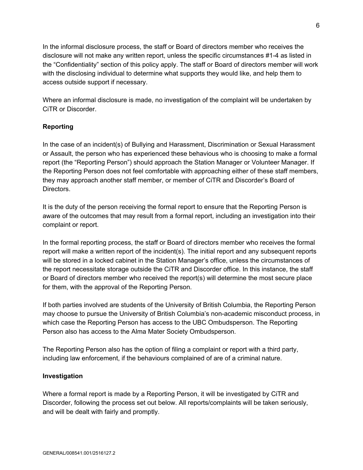In the informal disclosure process, the staff or Board of directors member who receives the disclosure will not make any written report, unless the specific circumstances #1-4 as listed in the "Confidentiality" section of this policy apply. The staff or Board of directors member will work with the disclosing individual to determine what supports they would like, and help them to access outside support if necessary.

Where an informal disclosure is made, no investigation of the complaint will be undertaken by CiTR or Discorder.

# **Reporting**

In the case of an incident(s) of Bullying and Harassment, Discrimination or Sexual Harassment or Assault, the person who has experienced these behavious who is choosing to make a formal report (the "Reporting Person") should approach the Station Manager or Volunteer Manager. If the Reporting Person does not feel comfortable with approaching either of these staff members, they may approach another staff member, or member of CiTR and Discorder's Board of Directors.

It is the duty of the person receiving the formal report to ensure that the Reporting Person is aware of the outcomes that may result from a formal report, including an investigation into their complaint or report.

In the formal reporting process, the staff or Board of directors member who receives the formal report will make a written report of the incident(s). The initial report and any subsequent reports will be stored in a locked cabinet in the Station Manager's office, unless the circumstances of the report necessitate storage outside the CiTR and Discorder office. In this instance, the staff or Board of directors member who received the report(s) will determine the most secure place for them, with the approval of the Reporting Person.

If both parties involved are students of the University of British Columbia, the Reporting Person may choose to pursue the University of British Columbia's non-academic misconduct process, in which case the Reporting Person has access to the UBC Ombudsperson. The Reporting Person also has access to the Alma Mater Society Ombudsperson.

The Reporting Person also has the option of filing a complaint or report with a third party, including law enforcement, if the behaviours complained of are of a criminal nature.

#### **Investigation**

Where a formal report is made by a Reporting Person, it will be investigated by CiTR and Discorder, following the process set out below. All reports/complaints will be taken seriously, and will be dealt with fairly and promptly.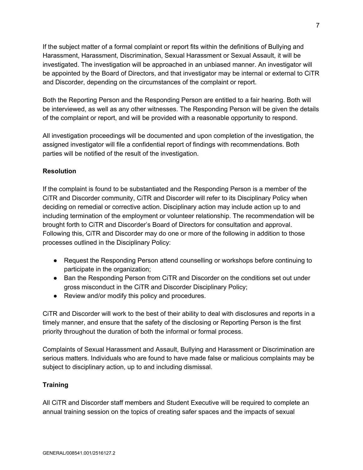If the subject matter of a formal complaint or report fits within the definitions of Bullying and Harassment, Harassment, Discrimination, Sexual Harassment or Sexual Assault, it will be investigated. The investigation will be approached in an unbiased manner. An investigator will be appointed by the Board of Directors, and that investigator may be internal or external to CiTR and Discorder, depending on the circumstances of the complaint or report.

Both the Reporting Person and the Responding Person are entitled to a fair hearing. Both will be interviewed, as well as any other witnesses. The Responding Person will be given the details of the complaint or report, and will be provided with a reasonable opportunity to respond.

All investigation proceedings will be documented and upon completion of the investigation, the assigned investigator will file a confidential report of findings with recommendations. Both parties will be notified of the result of the investigation.

# **Resolution**

If the complaint is found to be substantiated and the Responding Person is a member of the CiTR and Discorder community, CiTR and Discorder will refer to its Disciplinary Policy when deciding on remedial or corrective action. Disciplinary action may include action up to and including termination of the employment or volunteer relationship. The recommendation will be brought forth to CiTR and Discorder's Board of Directors for consultation and approval. Following this, CiTR and Discorder may do one or more of the following in addition to those processes outlined in the Disciplinary Policy:

- Request the Responding Person attend counselling or workshops before continuing to participate in the organization;
- Ban the Responding Person from CiTR and Discorder on the conditions set out under gross misconduct in the CiTR and Discorder Disciplinary Policy;
- Review and/or modify this policy and procedures.

CiTR and Discorder will work to the best of their ability to deal with disclosures and reports in a timely manner, and ensure that the safety of the disclosing or Reporting Person is the first priority throughout the duration of both the informal or formal process.

Complaints of Sexual Harassment and Assault, Bullying and Harassment or Discrimination are serious matters. Individuals who are found to have made false or malicious complaints may be subject to disciplinary action, up to and including dismissal.

#### **Training**

All CiTR and Discorder staff members and Student Executive will be required to complete an annual training session on the topics of creating safer spaces and the impacts of sexual